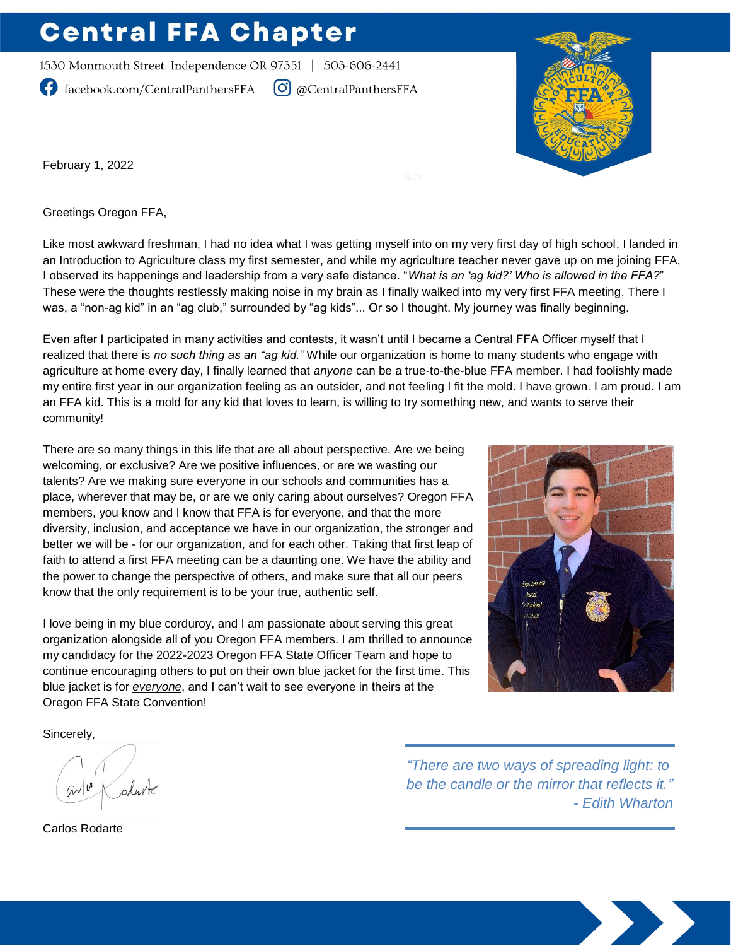## **Central FFA Chapter**

1530 Monmouth Street, Independence OR 97351 | 503-606-2441

facebook.com/CentralPanthersFFA

 $\left[\bigcirc\right]$  @CentralPanthersFFA



February 1, 2022

Greetings Oregon FFA,

Like most awkward freshman, I had no idea what I was getting myself into on my very first day of high school. I landed in an Introduction to Agriculture class my first semester, and while my agriculture teacher never gave up on me joining FFA, I observed its happenings and leadership from a very safe distance. "*What is an 'ag kid?' Who is allowed in the FFA?*" These were the thoughts restlessly making noise in my brain as I finally walked into my very first FFA meeting. There I was, a "non-ag kid" in an "ag club," surrounded by "ag kids"... Or so I thought. My journey was finally beginning.

Even after I participated in many activities and contests, it wasn't until I became a Central FFA Officer myself that I realized that there is *no such thing as an "ag kid."* While our organization is home to many students who engage with agriculture at home every day, I finally learned that *anyone* can be a true-to-the-blue FFA member. I had foolishly made my entire first year in our organization feeling as an outsider, and not feeling I fit the mold. I have grown. I am proud. I am an FFA kid. This is a mold for any kid that loves to learn, is willing to try something new, and wants to serve their community!

There are so many things in this life that are all about perspective. Are we being welcoming, or exclusive? Are we positive influences, or are we wasting our talents? Are we making sure everyone in our schools and communities has a place, wherever that may be, or are we only caring about ourselves? Oregon FFA members, you know and I know that FFA is for everyone, and that the more diversity, inclusion, and acceptance we have in our organization, the stronger and better we will be - for our organization, and for each other. Taking that first leap of faith to attend a first FFA meeting can be a daunting one. We have the ability and the power to change the perspective of others, and make sure that all our peers know that the only requirement is to be your true, authentic self.

I love being in my blue corduroy, and I am passionate about serving this great organization alongside all of you Oregon FFA members. I am thrilled to announce my candidacy for the 2022-2023 Oregon FFA State Officer Team and hope to continue encouraging others to put on their own blue jacket for the first time. This blue jacket is for *everyone*, and I can't wait to see everyone in theirs at the Oregon FFA State Convention!



Sincerely,

ohute  $\omega$ 

Carlos Rodarte

*"There are two ways of spreading light: to be the candle or the mirror that reflects it." - Edith Wharton*